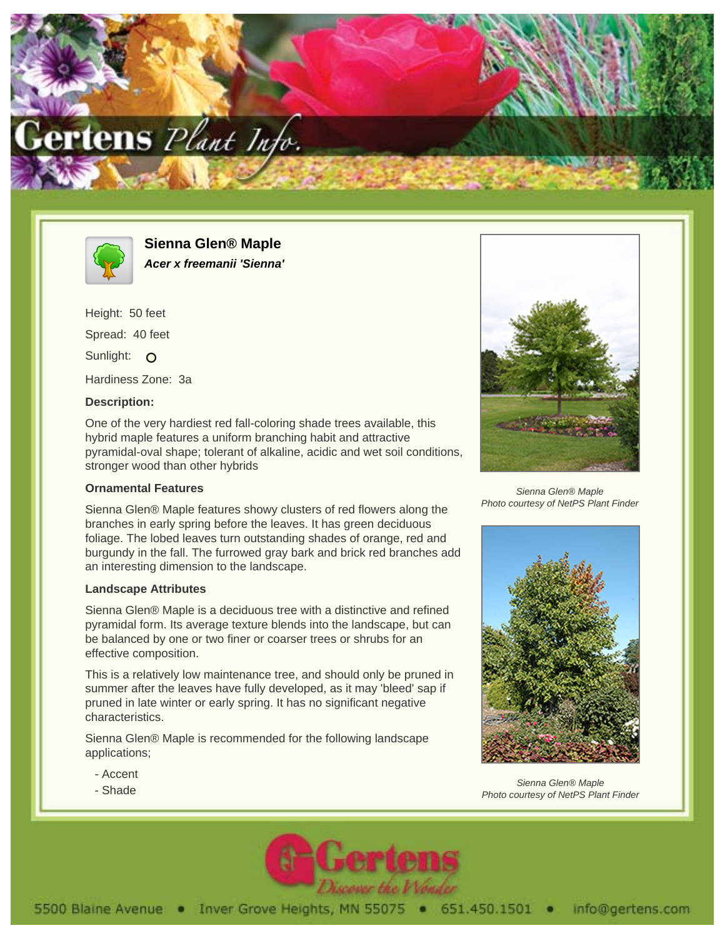



**Sienna Glen® Maple Acer x freemanii 'Sienna'**

Height: 50 feet Spread: 40 feet Sunlight: O Hardiness Zone: 3a

## **Description:**

One of the very hardiest red fall-coloring shade trees available, this hybrid maple features a uniform branching habit and attractive pyramidal-oval shape; tolerant of alkaline, acidic and wet soil conditions, stronger wood than other hybrids

## **Ornamental Features**

Sienna Glen® Maple features showy clusters of red flowers along the branches in early spring before the leaves. It has green deciduous foliage. The lobed leaves turn outstanding shades of orange, red and burgundy in the fall. The furrowed gray bark and brick red branches add an interesting dimension to the landscape.

## **Landscape Attributes**

Sienna Glen® Maple is a deciduous tree with a distinctive and refined pyramidal form. Its average texture blends into the landscape, but can be balanced by one or two finer or coarser trees or shrubs for an effective composition.

This is a relatively low maintenance tree, and should only be pruned in summer after the leaves have fully developed, as it may 'bleed' sap if pruned in late winter or early spring. It has no significant negative characteristics.

Sienna Glen® Maple is recommended for the following landscape applications;

- Accent
- Shade



Sienna Glen® Maple Photo courtesy of NetPS Plant Finder



Sienna Glen® Maple Photo courtesy of NetPS Plant Finder